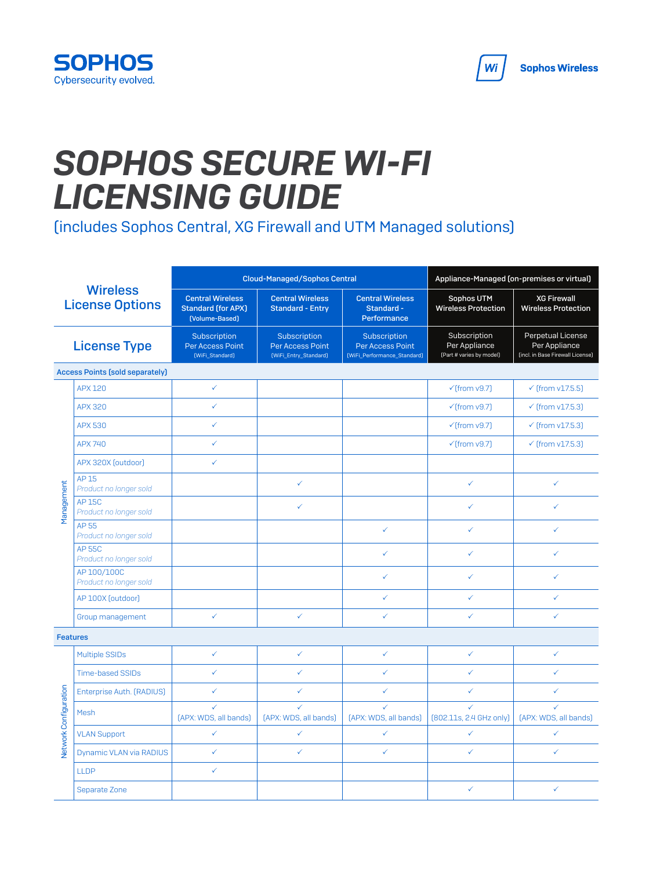

## *SOPHOS SECURE WI-FI LICENSING GUIDE*

(includes Sophos Central, XG Firewall and UTM Managed solutions)

| <b>Wireless</b><br><b>License Options</b> |                                         |                                                                        | <b>Cloud-Managed/Sophos Central</b>                       | Appliance-Managed (on-premises or virtual)                      |                                                           |                                                                        |
|-------------------------------------------|-----------------------------------------|------------------------------------------------------------------------|-----------------------------------------------------------|-----------------------------------------------------------------|-----------------------------------------------------------|------------------------------------------------------------------------|
|                                           |                                         | <b>Central Wireless</b><br><b>Standard (for APX)</b><br>[Volume-Based] | <b>Central Wireless</b><br><b>Standard - Entry</b>        | <b>Central Wireless</b><br>Standard -<br>Performance            | Sophos UTM<br><b>Wireless Protection</b>                  | <b>XG Firewall</b><br><b>Wireless Protection</b>                       |
| <b>License Type</b>                       |                                         | Subscription<br>Per Access Point<br>(WiFi_Standard)                    | Subscription<br>Per Access Point<br>[WiFi_Entry_Standard] | Subscription<br>Per Access Point<br>(WiFi_Performance_Standard) | Subscription<br>Per Appliance<br>(Part # varies by model) | Perpetual License<br>Per Appliance<br>(incl. in Base Firewall License) |
|                                           | <b>Access Points (sold separately)</b>  |                                                                        |                                                           |                                                                 |                                                           |                                                                        |
|                                           | <b>APX 120</b>                          | ✓                                                                      |                                                           |                                                                 | $\checkmark$ (from v9.7)                                  | $\checkmark$ (from v17.5.5)                                            |
|                                           | <b>APX 320</b>                          | ✓                                                                      |                                                           |                                                                 | $\checkmark$ (from v9.7)                                  | $\checkmark$ (from v17.5.3)                                            |
|                                           | <b>APX 530</b>                          | ✓                                                                      |                                                           |                                                                 | $\checkmark$ (from v9.7)                                  | $\checkmark$ (from v17.5.3)                                            |
|                                           | <b>APX 740</b>                          | ✓                                                                      |                                                           |                                                                 | $\checkmark$ (from v9.7)                                  | $\checkmark$ (from v17.5.3)                                            |
|                                           | APX 320X (outdoor)                      | ✓                                                                      |                                                           |                                                                 |                                                           |                                                                        |
|                                           | AP 15<br>Product no longer sold         |                                                                        | ✓                                                         |                                                                 | ✓                                                         | ✓                                                                      |
| Management                                | <b>AP 15C</b><br>Product no longer sold |                                                                        | ✓                                                         |                                                                 | ✓                                                         | ✓                                                                      |
|                                           | <b>AP55</b><br>Product no longer sold   |                                                                        |                                                           | $\checkmark$                                                    | ✓                                                         | ✓                                                                      |
|                                           | <b>AP 55C</b><br>Product no longer sold |                                                                        |                                                           | $\checkmark$                                                    | ✓                                                         | ✓                                                                      |
|                                           | AP 100/100C<br>Product no longer sold   |                                                                        |                                                           | ✓                                                               | ✓                                                         | ✓                                                                      |
|                                           | AP 100X [outdoor]                       |                                                                        |                                                           | $\checkmark$                                                    | $\checkmark$                                              | $\checkmark$                                                           |
|                                           | Group management                        | ✓                                                                      | ✓                                                         | ✓                                                               | ✓                                                         | ✓                                                                      |
| <b>Features</b>                           |                                         |                                                                        |                                                           |                                                                 |                                                           |                                                                        |
| Network Configuration                     | <b>Multiple SSIDs</b>                   | ✓                                                                      | ✓                                                         | $\checkmark$                                                    | $\checkmark$                                              | $\checkmark$                                                           |
|                                           | <b>Time-based SSIDs</b>                 | ✓                                                                      | ✓                                                         | $\checkmark$                                                    | ✓                                                         | $\checkmark$                                                           |
|                                           | Enterprise Auth. (RADIUS)               | ✓                                                                      | ✓                                                         | ✓                                                               | ✓                                                         | ✓                                                                      |
|                                           | Mesh                                    | ✓<br>[APX: WDS, all bands]                                             | ✓<br>[APX: WDS, all bands]                                | $\checkmark$<br>[APX: WDS, all bands]                           | ✓<br>[802.11s, 2.4 GHz only]                              | ✓<br>[APX: WDS, all bands]                                             |
|                                           | <b>VLAN Support</b>                     | ✓                                                                      | ✓                                                         | $\checkmark$                                                    | $\checkmark$                                              | $\checkmark$                                                           |
|                                           | Dynamic VLAN via RADIUS                 | ✓                                                                      | ✓                                                         | $\checkmark$                                                    | ✓                                                         | $\checkmark$                                                           |
|                                           | <b>LLDP</b>                             | ✓                                                                      |                                                           |                                                                 |                                                           |                                                                        |
|                                           | Separate Zone                           |                                                                        |                                                           |                                                                 | ✓                                                         | ✓                                                                      |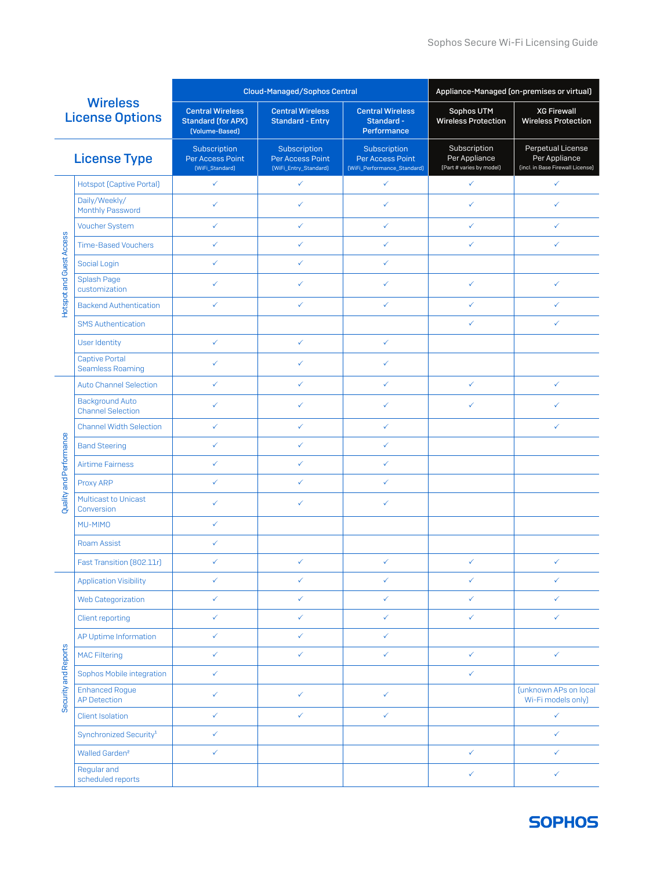| <b>Wireless</b><br><b>License Options</b> |                                                    | <b>Cloud-Managed/Sophos Central</b>                                    |                                                           |                                                                 | Appliance-Managed (on-premises or virtual)                |                                                                        |
|-------------------------------------------|----------------------------------------------------|------------------------------------------------------------------------|-----------------------------------------------------------|-----------------------------------------------------------------|-----------------------------------------------------------|------------------------------------------------------------------------|
|                                           |                                                    | <b>Central Wireless</b><br><b>Standard (for APX)</b><br>(Volume-Based) | <b>Central Wireless</b><br><b>Standard - Entry</b>        | <b>Central Wireless</b><br>Standard -<br>Performance            | Sophos UTM<br><b>Wireless Protection</b>                  | <b>XG Firewall</b><br><b>Wireless Protection</b>                       |
| <b>License Type</b>                       |                                                    | Subscription<br>Per Access Point<br>[WiFi_Standard]                    | Subscription<br>Per Access Point<br>[WiFi_Entry_Standard] | Subscription<br>Per Access Point<br>[WiFi_Performance_Standard] | Subscription<br>Per Appliance<br>(Part # varies by model) | Perpetual License<br>Per Appliance<br>(incl. in Base Firewall License) |
|                                           | <b>Hotspot [Captive Portal]</b>                    | $\checkmark$                                                           | ✓                                                         | ✓                                                               | $\checkmark$                                              | $\checkmark$                                                           |
|                                           | Daily/Weekly/<br>Monthly Password                  | ✓                                                                      | ✓                                                         | ✓                                                               | ✓                                                         | ✓                                                                      |
|                                           | <b>Voucher System</b>                              | $\checkmark$                                                           | ✓                                                         | ✓                                                               | ✓                                                         | ✓                                                                      |
|                                           | <b>Time-Based Vouchers</b>                         | ✓                                                                      | $\checkmark$                                              | ✓                                                               | ✓                                                         | ✓                                                                      |
|                                           | Social Login                                       | $\checkmark$                                                           | $\checkmark$                                              | ✓                                                               |                                                           |                                                                        |
| Hotspot and Guest Access                  | Splash Page<br>customization                       | ✓                                                                      | ✓                                                         | ✓                                                               | ✓                                                         | ✓                                                                      |
|                                           | <b>Backend Authentication</b>                      | $\checkmark$                                                           | $\checkmark$                                              | ✓                                                               | ✓                                                         | ✓                                                                      |
|                                           | <b>SMS Authentication</b>                          |                                                                        |                                                           |                                                                 | ✓                                                         | ✓                                                                      |
|                                           | <b>User Identity</b>                               | ✓                                                                      | ✓                                                         | ✓                                                               |                                                           |                                                                        |
|                                           | <b>Captive Portal</b><br><b>Seamless Roaming</b>   | ✓                                                                      | ✓                                                         | ✓                                                               |                                                           |                                                                        |
|                                           | <b>Auto Channel Selection</b>                      | $\checkmark$                                                           | ✓                                                         | ✓                                                               | ✓                                                         | ✓                                                                      |
|                                           | <b>Background Auto</b><br><b>Channel Selection</b> | ✓                                                                      | ✓                                                         | ✓                                                               | ✓                                                         | ✓                                                                      |
|                                           | <b>Channel Width Selection</b>                     | ✓                                                                      | $\checkmark$                                              | ✓                                                               |                                                           | ✓                                                                      |
|                                           | <b>Band Steering</b>                               | $\checkmark$                                                           | $\checkmark$                                              | ✓                                                               |                                                           |                                                                        |
|                                           | <b>Airtime Fairness</b>                            | ✓                                                                      | $\checkmark$                                              | ✓                                                               |                                                           |                                                                        |
|                                           | Proxy ARP                                          | ✓                                                                      | ✓                                                         | ✓                                                               |                                                           |                                                                        |
| Quality and Performance                   | <b>Multicast to Unicast</b><br>Conversion          | ✓                                                                      | ✓                                                         | ✓                                                               |                                                           |                                                                        |
|                                           | MU-MIMO                                            | $\checkmark$                                                           |                                                           |                                                                 |                                                           |                                                                        |
|                                           | <b>Roam Assist</b>                                 | ✓                                                                      |                                                           |                                                                 |                                                           |                                                                        |
|                                           | Fast Transition (802.11r)                          | ✓                                                                      | ✓                                                         | ✓                                                               | ✓                                                         | ✓                                                                      |
|                                           | <b>Application Visibility</b>                      | $\checkmark$                                                           | $\checkmark$                                              | ✓                                                               | ✓                                                         | ✓                                                                      |
|                                           | <b>Web Categorization</b>                          | $\checkmark$                                                           | $\checkmark$                                              | $\checkmark$                                                    | $\checkmark$                                              | $\checkmark$                                                           |
|                                           | Client reporting                                   | $\checkmark$                                                           | $\checkmark$                                              | ✓                                                               | ✓                                                         | $\checkmark$                                                           |
|                                           | AP Uptime Information                              | $\checkmark$                                                           | $\checkmark$                                              | $\checkmark$                                                    |                                                           |                                                                        |
| Security and Reports                      | <b>MAC Filtering</b>                               | $\checkmark$                                                           | $\checkmark$                                              | ✓                                                               | $\checkmark$                                              | $\checkmark$                                                           |
|                                           | Sophos Mobile integration                          | $\checkmark$                                                           |                                                           |                                                                 | ✓                                                         |                                                                        |
|                                           | <b>Enhanced Rogue</b><br><b>AP Detection</b>       | $\checkmark$                                                           | ✓                                                         | ✓                                                               |                                                           | (unknown APs on local<br>Wi-Fi models only)                            |
|                                           | <b>Client Isolation</b>                            | $\checkmark$                                                           | $\checkmark$                                              | $\checkmark$                                                    |                                                           | $\checkmark$                                                           |
|                                           | Synchronized Security <sup>1</sup>                 | $\checkmark$                                                           |                                                           |                                                                 |                                                           | $\checkmark$                                                           |
|                                           | Walled Garden <sup>2</sup>                         | $\checkmark$                                                           |                                                           |                                                                 | $\checkmark$                                              | $\checkmark$                                                           |
|                                           | Regular and<br>scheduled reports                   |                                                                        |                                                           |                                                                 | $\checkmark$                                              | $\checkmark$                                                           |